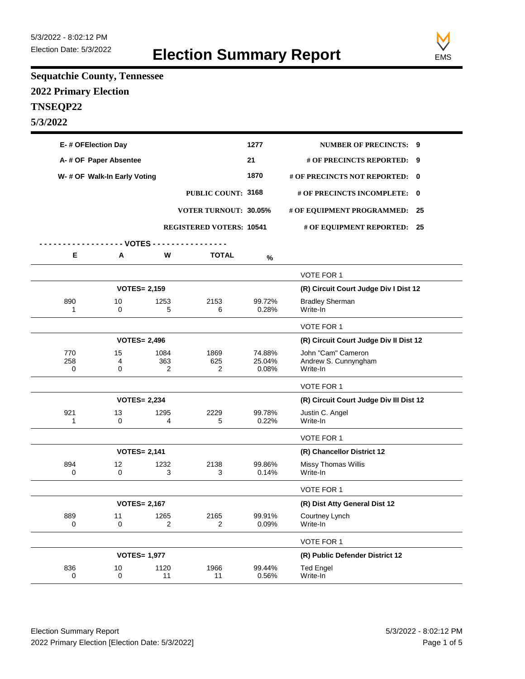

## **Sequatchie County, Tennessee 2022 Primary Election TNSEQP22 5/3/2022**

| E-# OFElection Day           |                       |                     |                                 | 1277                      | <b>NUMBER OF PRECINCTS: 9</b>                          |   |
|------------------------------|-----------------------|---------------------|---------------------------------|---------------------------|--------------------------------------------------------|---|
|                              | A-# OF Paper Absentee |                     |                                 |                           | # OF PRECINCTS REPORTED: 9                             |   |
| W- # OF Walk-In Early Voting |                       |                     |                                 | 1870                      | # OF PRECINCTS NOT REPORTED:                           | 0 |
|                              |                       |                     | <b>PUBLIC COUNT: 3168</b>       |                           | # OF PRECINCTS INCOMPLETE:                             | 0 |
|                              |                       |                     | <b>VOTER TURNOUT: 30.05%</b>    |                           | # OF EQUIPMENT PROGRAMMED: 25                          |   |
|                              |                       |                     | <b>REGISTERED VOTERS: 10541</b> |                           | # OF EQUIPMENT REPORTED: 25                            |   |
|                              | - VOTES - -           |                     |                                 |                           |                                                        |   |
| Е                            | Α                     | W                   | <b>TOTAL</b>                    | $\%$                      |                                                        |   |
|                              |                       |                     |                                 |                           | VOTE FOR 1                                             |   |
|                              |                       | <b>VOTES= 2,159</b> |                                 |                           | (R) Circuit Court Judge Div I Dist 12                  |   |
| 890<br>1                     | 10<br>$\Omega$        | 1253<br>5           | 2153<br>6                       | 99.72%<br>0.28%           | <b>Bradley Sherman</b><br>Write-In                     |   |
|                              |                       |                     |                                 |                           | <b>VOTE FOR 1</b>                                      |   |
|                              |                       | <b>VOTES= 2,496</b> |                                 |                           | (R) Circuit Court Judge Div Il Dist 12                 |   |
| 770<br>258<br>0              | 15<br>4<br>0          | 1084<br>363<br>2    | 1869<br>625<br>2                | 74.88%<br>25.04%<br>0.08% | John "Cam" Cameron<br>Andrew S. Cunnyngham<br>Write-In |   |
|                              |                       |                     |                                 |                           | VOTE FOR 1                                             |   |
|                              |                       | <b>VOTES= 2,234</b> |                                 |                           | (R) Circuit Court Judge Div III Dist 12                |   |
| 921<br>1                     | 13<br>0               | 1295<br>4           | 2229<br>5                       | 99.78%<br>0.22%           | Justin C. Angel<br>Write-In                            |   |
|                              |                       |                     |                                 |                           | VOTE FOR 1                                             |   |
|                              |                       | <b>VOTES= 2,141</b> |                                 |                           | (R) Chancellor District 12                             |   |
| 894<br>$\Omega$              | 12<br>0               | 1232<br>3           | 2138<br>3                       | 99.86%<br>0.14%           | <b>Missy Thomas Willis</b><br>Write-In                 |   |
|                              |                       |                     |                                 |                           | VOTE FOR 1                                             |   |
|                              |                       | <b>VOTES= 2,167</b> |                                 |                           | (R) Dist Atty General Dist 12                          |   |
| 889<br>0                     | 11<br>0               | 1265<br>2           | 2165<br>$\overline{2}$          | 99.91%<br>0.09%           | Courtney Lynch<br>Write-In                             |   |
|                              |                       |                     |                                 |                           | VOTE FOR 1                                             |   |
|                              |                       | <b>VOTES= 1,977</b> |                                 |                           | (R) Public Defender District 12                        |   |
| 836<br>0                     | 10<br>$\pmb{0}$       | 1120<br>11          | 1966<br>11                      | 99.44%<br>0.56%           | <b>Ted Engel</b><br>Write-In                           |   |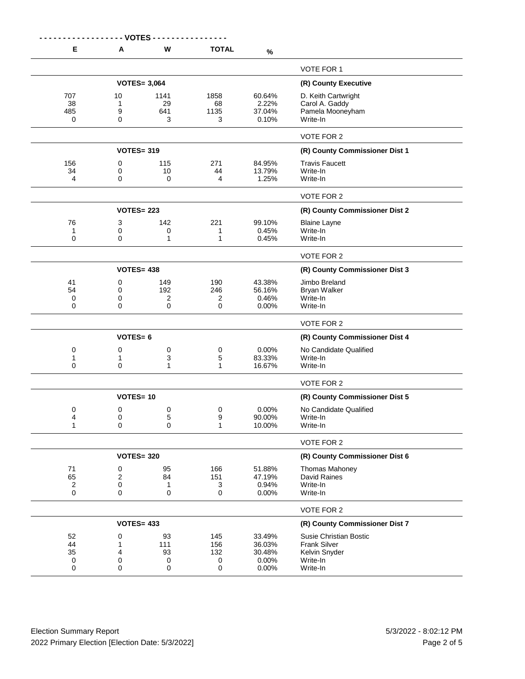|                       | ------ VOTES -    |                                |                                |                                    |                                                                       |
|-----------------------|-------------------|--------------------------------|--------------------------------|------------------------------------|-----------------------------------------------------------------------|
| Е                     | Α                 | W                              | <b>TOTAL</b>                   | $\%$                               |                                                                       |
|                       |                   |                                |                                |                                    | <b>VOTE FOR 1</b>                                                     |
|                       |                   | <b>VOTES= 3,064</b>            | (R) County Executive           |                                    |                                                                       |
| 707<br>38<br>485<br>0 | 10<br>1<br>9<br>0 | 1141<br>29<br>641<br>3         | 1858<br>68<br>1135<br>3        | 60.64%<br>2.22%<br>37.04%<br>0.10% | D. Keith Cartwright<br>Carol A. Gaddy<br>Pamela Mooneyham<br>Write-In |
|                       |                   |                                |                                |                                    | VOTE FOR 2                                                            |
|                       | <b>VOTES= 319</b> |                                |                                |                                    | (R) County Commissioner Dist 1                                        |
| 156                   | 0                 | 115                            | 271                            | 84.95%                             | <b>Travis Faucett</b>                                                 |
| 34<br>4               | 0<br>0            | 10<br>0                        | 44<br>4                        | 13.79%<br>1.25%                    | Write-In<br>Write-In                                                  |
|                       |                   |                                |                                |                                    |                                                                       |
|                       |                   |                                |                                |                                    | <b>VOTE FOR 2</b>                                                     |
|                       | <b>VOTES= 223</b> |                                |                                |                                    | (R) County Commissioner Dist 2                                        |
| 76<br>1<br>0          | 3<br>0<br>0       | 142<br>0<br>1                  | 221<br>1<br>1                  | 99.10%<br>0.45%<br>0.45%           | <b>Blaine Layne</b><br>Write-In<br>Write-In                           |
|                       |                   |                                |                                |                                    | VOTE FOR 2                                                            |
|                       | <b>VOTES= 438</b> |                                |                                |                                    | (R) County Commissioner Dist 3                                        |
| 41<br>54<br>0<br>0    | 0<br>0<br>0<br>0  | 149<br>192<br>2<br>$\mathbf 0$ | 190<br>246<br>2<br>$\mathbf 0$ | 43.38%<br>56.16%<br>0.46%<br>0.00% | Jimbo Breland<br><b>Bryan Walker</b><br>Write-In<br>Write-In          |
|                       |                   |                                |                                |                                    | VOTE FOR 2                                                            |
|                       | <b>VOTES=6</b>    |                                |                                |                                    | (R) County Commissioner Dist 4                                        |
| 0                     | 0                 | 0                              | 0                              | 0.00%                              | No Candidate Qualified                                                |
| 1<br>0                | 1<br>0            | 3<br>1                         | 5<br>1                         | 83.33%<br>16.67%                   | Write-In<br>Write-In                                                  |
|                       |                   |                                |                                |                                    |                                                                       |
|                       | <b>VOTES=10</b>   |                                |                                |                                    | VOTE FOR 2<br>(R) County Commissioner Dist 5                          |
|                       |                   |                                |                                | 0.00%                              | No Candidate Qualified                                                |
| 0<br>4                | 0<br>0            | 0<br>5                         | 0<br>9                         | 90.00%                             | Write-In                                                              |
| 1                     | 0                 | 0                              | 1                              | 10.00%                             | Write-In                                                              |
|                       |                   |                                |                                |                                    | VOTE FOR 2                                                            |
|                       | <b>VOTES= 320</b> |                                | (R) County Commissioner Dist 6 |                                    |                                                                       |
| 71                    | 0                 | 95                             | 166                            | 51.88%                             | <b>Thomas Mahoney</b>                                                 |
| 65<br>2               | 2<br>0            | 84<br>1                        | 151<br>3                       | 47.19%<br>0.94%                    | David Raines<br>Write-In                                              |
| 0                     | 0                 | 0                              | $\mathbf 0$                    | 0.00%                              | Write-In                                                              |
|                       |                   |                                |                                |                                    | VOTE FOR 2                                                            |
|                       | <b>VOTES= 433</b> |                                | (R) County Commissioner Dist 7 |                                    |                                                                       |
| 52                    | 0                 | 93                             | 145                            | 33.49%                             | Susie Christian Bostic                                                |
| 44<br>35              | 1<br>4            | 111<br>93                      | 156<br>132                     | 36.03%<br>30.48%                   | <b>Frank Silver</b><br>Kelvin Snyder                                  |
| 0                     | 0                 | 0                              | 0                              | 0.00%                              | Write-In                                                              |
| 0                     | 0                 | 0                              | 0                              | 0.00%                              | Write-In                                                              |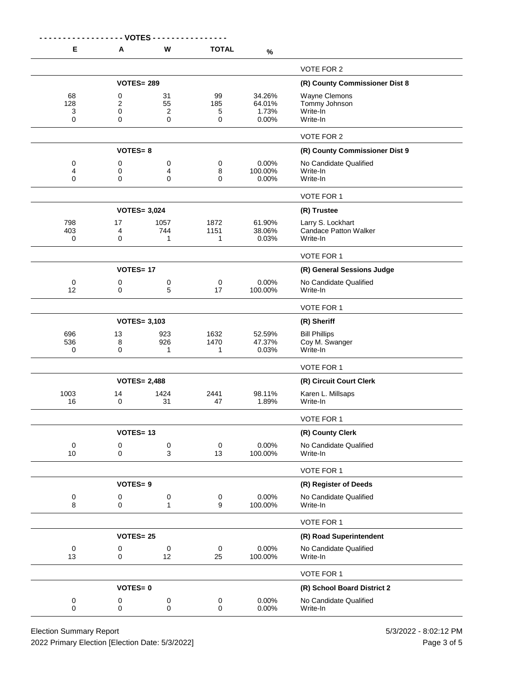| E                | <b>VOTES</b><br>Α | W                        | <b>TOTAL</b>                   |                             |                                                   |
|------------------|-------------------|--------------------------|--------------------------------|-----------------------------|---------------------------------------------------|
|                  |                   |                          |                                | $\%$                        |                                                   |
|                  |                   |                          | <b>VOTE FOR 2</b>              |                             |                                                   |
|                  | <b>VOTES= 289</b> |                          | (R) County Commissioner Dist 8 |                             |                                                   |
| 68<br>128        | 0<br>2            | 31<br>55                 | 99<br>185                      | 34.26%<br>64.01%            | Wayne Clemons<br>Tommy Johnson                    |
| 3                | 0                 | $\boldsymbol{2}$         | 5                              | 1.73%                       | Write-In                                          |
| 0                | 0                 | 0                        | 0                              | 0.00%                       | Write-In                                          |
|                  |                   |                          |                                |                             | VOTE FOR 2                                        |
|                  | $VOTES = 8$       |                          |                                |                             | (R) County Commissioner Dist 9                    |
| 0                | 0                 | 0                        | $\pmb{0}$                      | 0.00%                       | No Candidate Qualified                            |
| 4<br>0           | 0<br>0            | 4<br>0                   | 8<br>$\mathbf 0$               | 100.00%<br>0.00%            | Write-In<br>Write-In                              |
|                  |                   |                          |                                |                             |                                                   |
|                  |                   |                          |                                |                             | VOTE FOR 1                                        |
|                  |                   | <b>VOTES= 3,024</b>      |                                |                             | (R) Trustee                                       |
| 798<br>403       | 17<br>4           | 1057<br>744              | 1872<br>1151                   | 61.90%<br>38.06%            | Larry S. Lockhart<br><b>Candace Patton Walker</b> |
| $\mathbf 0$      | 0                 | 1                        | 1                              | 0.03%                       | Write-In                                          |
|                  |                   |                          |                                |                             | VOTE FOR 1                                        |
|                  | <b>VOTES=17</b>   |                          |                                |                             | (R) General Sessions Judge                        |
| 0                | 0                 | 0                        | 0                              | 0.00%                       | No Candidate Qualified                            |
| 12               | 0                 | 5                        | 17                             | 100.00%                     | Write-In                                          |
|                  |                   |                          |                                |                             | VOTE FOR 1                                        |
|                  |                   | <b>VOTES= 3,103</b>      |                                |                             | (R) Sheriff                                       |
| 696              | 13                | 923                      | 1632                           | 52.59%                      | <b>Bill Phillips</b>                              |
| 536<br>0         | 8<br>0            | 926<br>1                 | 1470<br>1                      | 47.37%<br>0.03%             | Coy M. Swanger<br>Write-In                        |
|                  |                   |                          |                                |                             | VOTE FOR 1                                        |
|                  |                   | <b>VOTES= 2,488</b>      |                                |                             | (R) Circuit Court Clerk                           |
| 1003             | 14                | 1424                     | 2441                           | 98.11%                      | Karen L. Millsaps                                 |
| 16               | 0                 | 31                       | 47                             | 1.89%                       | Write-In                                          |
|                  |                   |                          |                                |                             | VOTE FOR 1                                        |
|                  | <b>VOTES=13</b>   |                          |                                |                             | (R) County Clerk                                  |
| $\boldsymbol{0}$ | 0                 | $\pmb{0}$                | 0                              | 0.00%                       | No Candidate Qualified                            |
| 10               | 0                 | 3                        | 13                             | 100.00%                     | Write-In                                          |
|                  |                   |                          |                                |                             | VOTE FOR 1                                        |
|                  | <b>VOTES=9</b>    |                          |                                |                             | (R) Register of Deeds                             |
| 0<br>8           | 0<br>0            | $\pmb{0}$<br>1           | 0<br>9                         | 0.00%<br>100.00%            | No Candidate Qualified<br>Write-In                |
|                  |                   |                          |                                |                             |                                                   |
|                  |                   |                          |                                |                             | VOTE FOR 1                                        |
| <b>VOTES=25</b>  |                   |                          |                                |                             | (R) Road Superintendent                           |
| $\pmb{0}$<br>13  | 0<br>0            | $\pmb{0}$<br>12          | $\pmb{0}$<br>25                | 0.00%<br>100.00%            | No Candidate Qualified<br>Write-In                |
|                  |                   |                          |                                |                             |                                                   |
|                  |                   |                          |                                |                             | VOTE FOR 1                                        |
| <b>VOTES=0</b>   |                   |                          |                                | (R) School Board District 2 |                                                   |
| 0<br>0           | 0<br>0            | $\pmb{0}$<br>$\mathsf 0$ | $\pmb{0}$<br>$\mathsf 0$       | 0.00%<br>0.00%              | No Candidate Qualified<br>Write-In                |
|                  |                   |                          |                                |                             |                                                   |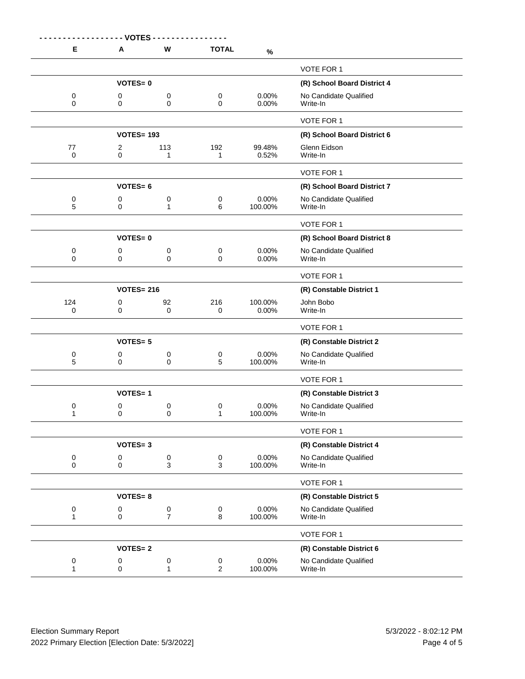| E                 | Α                      | W                           | <b>TOTAL</b>                              | $\%$                        |                                    |
|-------------------|------------------------|-----------------------------|-------------------------------------------|-----------------------------|------------------------------------|
|                   |                        |                             |                                           |                             | VOTE FOR 1                         |
|                   | <b>VOTES=0</b>         |                             |                                           | (R) School Board District 4 |                                    |
| 0<br>0            | 0<br>0                 | 0<br>0                      | 0<br>$\mathbf 0$                          | 0.00%<br>0.00%              | No Candidate Qualified<br>Write-In |
|                   |                        |                             |                                           |                             |                                    |
|                   |                        |                             | VOTE FOR 1<br>(R) School Board District 6 |                             |                                    |
| 77                | <b>VOTES= 193</b><br>2 | 113                         | 192                                       | 99.48%                      | Glenn Eidson                       |
| $\mathbf 0$       | 0                      | 1                           | $\mathbf{1}$                              | 0.52%                       | Write-In                           |
|                   |                        |                             |                                           |                             | VOTE FOR 1                         |
|                   | $VOTES = 6$            |                             |                                           |                             | (R) School Board District 7        |
| 0<br>5            | 0<br>0                 | $\pmb{0}$<br>1              | 0<br>6                                    | 0.00%<br>100.00%            | No Candidate Qualified<br>Write-In |
|                   |                        |                             |                                           |                             | VOTE FOR 1                         |
|                   | <b>VOTES=0</b>         |                             |                                           |                             | (R) School Board District 8        |
| 0                 | 0                      | 0                           | 0                                         | 0.00%                       | No Candidate Qualified             |
| 0                 | 0                      | 0                           | 0                                         | 0.00%                       | Write-In                           |
|                   |                        |                             |                                           |                             | VOTE FOR 1                         |
|                   | <b>VOTES= 216</b>      |                             |                                           |                             | (R) Constable District 1           |
| 124<br>0          | 0<br>0                 | 92<br>0                     | 216<br>0                                  | 100.00%<br>0.00%            | John Bobo<br>Write-In              |
|                   |                        |                             |                                           |                             | VOTE FOR 1                         |
|                   | <b>VOTES=5</b>         |                             |                                           |                             | (R) Constable District 2           |
| 0                 | 0                      | 0                           | 0                                         | 0.00%                       | No Candidate Qualified             |
| 5                 | 0                      | 0                           | 5                                         | 100.00%                     | Write-In                           |
|                   |                        |                             |                                           |                             | VOTE FOR 1                         |
|                   | <b>VOTES=1</b>         |                             |                                           |                             | (R) Constable District 3           |
| 0<br>1            | 0<br>0                 | 0<br>0                      | 0<br>1                                    | 0.00%<br>100.00%            | No Candidate Qualified<br>Write-In |
|                   |                        |                             |                                           |                             | VOTE FOR 1                         |
|                   | $VOTES = 3$            |                             |                                           | (R) Constable District 4    |                                    |
| 0                 | 0                      | $\pmb{0}$                   | 0                                         | 0.00%                       | No Candidate Qualified             |
| 0                 | 0                      | 3                           | 3                                         | 100.00%                     | Write-In                           |
|                   |                        |                             |                                           |                             | VOTE FOR 1                         |
|                   | <b>VOTES=8</b>         |                             |                                           |                             | (R) Constable District 5           |
| 0<br>$\mathbf{1}$ | 0<br>0                 | $\pmb{0}$<br>$\overline{7}$ | 0<br>8                                    | 0.00%<br>100.00%            | No Candidate Qualified<br>Write-In |
|                   |                        |                             |                                           |                             | VOTE FOR 1                         |
|                   | <b>VOTES=2</b>         |                             |                                           |                             | (R) Constable District 6           |
| 0<br>1            | 0<br>0                 | 0<br>1                      | 0<br>$\overline{2}$                       | 0.00%<br>100.00%            | No Candidate Qualified<br>Write-In |
|                   |                        |                             |                                           |                             |                                    |